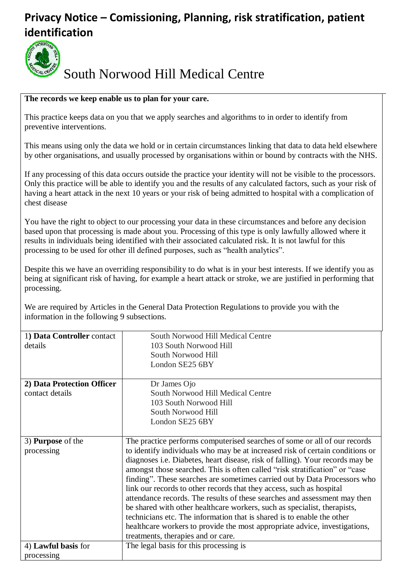## **Privacy Notice – Comissioning, Planning, risk stratification, patient identification**



# South Norwood Hill Medical Centre

#### **The records we keep enable us to plan for your care.**

This practice keeps data on you that we apply searches and algorithms to in order to identify from preventive interventions.

This means using only the data we hold or in certain circumstances linking that data to data held elsewhere by other organisations, and usually processed by organisations within or bound by contracts with the NHS.

If any processing of this data occurs outside the practice your identity will not be visible to the processors. Only this practice will be able to identify you and the results of any calculated factors, such as your risk of having a heart attack in the next 10 years or your risk of being admitted to hospital with a complication of chest disease

You have the right to object to our processing your data in these circumstances and before any decision based upon that processing is made about you. Processing of this type is only lawfully allowed where it results in individuals being identified with their associated calculated risk. It is not lawful for this processing to be used for other ill defined purposes, such as "health analytics".

Despite this we have an overriding responsibility to do what is in your best interests. If we identify you as being at significant risk of having, for example a heart attack or stroke, we are justified in performing that processing.

We are required by Articles in the General Data Protection Regulations to provide you with the information in the following 9 subsections.

| 1) Data Controller contact | South Norwood Hill Medical Centre                                             |
|----------------------------|-------------------------------------------------------------------------------|
| details                    | 103 South Norwood Hill                                                        |
|                            | South Norwood Hill                                                            |
|                            | London SE25 6BY                                                               |
|                            |                                                                               |
| 2) Data Protection Officer | Dr James Ojo                                                                  |
| contact details            | South Norwood Hill Medical Centre                                             |
|                            | 103 South Norwood Hill                                                        |
|                            | South Norwood Hill                                                            |
|                            | London SE25 6BY                                                               |
|                            |                                                                               |
| 3) <b>Purpose</b> of the   | The practice performs computerised searches of some or all of our records     |
| processing                 | to identify individuals who may be at increased risk of certain conditions or |
|                            | diagnoses i.e. Diabetes, heart disease, risk of falling). Your records may be |
|                            | amongst those searched. This is often called "risk stratification" or "case   |
|                            | finding". These searches are sometimes carried out by Data Processors who     |
|                            | link our records to other records that they access, such as hospital          |
|                            | attendance records. The results of these searches and assessment may then     |
|                            | be shared with other healthcare workers, such as specialist, therapists,      |
|                            | technicians etc. The information that is shared is to enable the other        |
|                            | healthcare workers to provide the most appropriate advice, investigations,    |
|                            | treatments, therapies and or care.                                            |
| 4) Lawful basis for        | The legal basis for this processing is                                        |
| processing                 |                                                                               |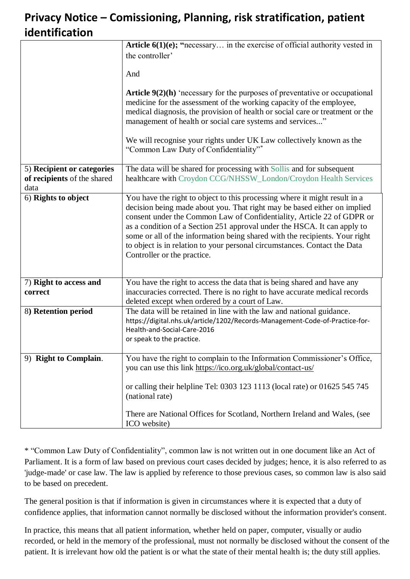### **Privacy Notice – Comissioning, Planning, risk stratification, patient identification**

|                                                                   | Article $6(1)(e)$ ; "necessary in the exercise of official authority vested in                                                                                                                                                                                                                                                                                                                                                                                                                          |
|-------------------------------------------------------------------|---------------------------------------------------------------------------------------------------------------------------------------------------------------------------------------------------------------------------------------------------------------------------------------------------------------------------------------------------------------------------------------------------------------------------------------------------------------------------------------------------------|
|                                                                   | the controller'                                                                                                                                                                                                                                                                                                                                                                                                                                                                                         |
|                                                                   | And                                                                                                                                                                                                                                                                                                                                                                                                                                                                                                     |
|                                                                   | Article $9(2)(h)$ 'necessary for the purposes of preventative or occupational<br>medicine for the assessment of the working capacity of the employee,<br>medical diagnosis, the provision of health or social care or treatment or the<br>management of health or social care systems and services"<br>We will recognise your rights under UK Law collectively known as the<br>"Common Law Duty of Confidentiality"*                                                                                    |
| 5) Recipient or categories<br>of recipients of the shared<br>data | The data will be shared for processing with Sollis and for subsequent<br>healthcare with Croydon CCG/NHSSW_London/Croydon Health Services                                                                                                                                                                                                                                                                                                                                                               |
| 6) Rights to object                                               | You have the right to object to this processing where it might result in a<br>decision being made about you. That right may be based either on implied<br>consent under the Common Law of Confidentiality, Article 22 of GDPR or<br>as a condition of a Section 251 approval under the HSCA. It can apply to<br>some or all of the information being shared with the recipients. Your right<br>to object is in relation to your personal circumstances. Contact the Data<br>Controller or the practice. |
| 7) Right to access and<br>correct                                 | You have the right to access the data that is being shared and have any<br>inaccuracies corrected. There is no right to have accurate medical records<br>deleted except when ordered by a court of Law.                                                                                                                                                                                                                                                                                                 |
| 8) Retention period                                               | The data will be retained in line with the law and national guidance.<br>https://digital.nhs.uk/article/1202/Records-Management-Code-of-Practice-for-<br>Health-and-Social-Care-2016<br>or speak to the practice.                                                                                                                                                                                                                                                                                       |
| 9) Right to Complain.                                             | You have the right to complain to the Information Commissioner's Office,<br>you can use this link https://ico.org.uk/global/contact-us/                                                                                                                                                                                                                                                                                                                                                                 |
|                                                                   | or calling their helpline Tel: 0303 123 1113 (local rate) or 01625 545 745<br>(national rate)                                                                                                                                                                                                                                                                                                                                                                                                           |
|                                                                   | There are National Offices for Scotland, Northern Ireland and Wales, (see<br>ICO website)                                                                                                                                                                                                                                                                                                                                                                                                               |

\* "Common Law Duty of Confidentiality", common law is not written out in one document like an Act of Parliament. It is a form of law based on previous court cases decided by judges; hence, it is also referred to as 'judge-made' or case law. The law is applied by reference to those previous cases, so common law is also said to be based on precedent.

The general position is that if information is given in circumstances where it is expected that a duty of confidence applies, that information cannot normally be disclosed without the information provider's consent.

In practice, this means that all patient information, whether held on paper, computer, visually or audio recorded, or held in the memory of the professional, must not normally be disclosed without the consent of the patient. It is irrelevant how old the patient is or what the state of their mental health is; the duty still applies.